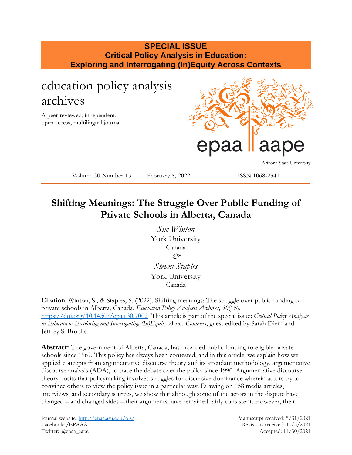### **SPECIAL ISSUE Critical Policy Analysis in Education: Exploring and Interrogating (In)Equity Across Contexts**

## education policy analysis archives

A peer-reviewed, independent, open access, multilingual journal



Arizona State University

Volume 30 Number 15 February 8, 2022 ISSN 1068-2341

## **Shifting Meanings: The Struggle Over Public Funding of Private Schools in Alberta, Canada**

*Sue Winton* York University Canada *& Steven Staples* York University Canada

**Citation**: Winton, S., & Staples, S. (2022). Shifting meanings: The struggle over public funding of private schools in Alberta, Canada. *Education Policy Analysis Archives, 30*(15). <https://doi.org/10.14507/epaa.30.7002>This article is part of the special issue: *Critical Policy Analysis in Education: Exploring and Interrogating (In)Equity Across Contexts*, guest edited by Sarah Diem and Jeffrey S. Brooks.

Abstract: The government of Alberta, Canada, has provided public funding to eligible private schools since 1967. This policy has always been contested, and in this article, we explain how we applied concepts from argumentative discourse theory and its attendant methodology, argumentative discourse analysis (ADA), to trace the debate over the policy since 1990. Argumentative discourse theory posits that policymaking involves struggles for discursive dominance wherein actors try to convince others to view the policy issue in a particular way. Drawing on 158 media articles, interviews, and secondary sources, we show that although some of the actors in the dispute have changed – and changed sides – their arguments have remained fairly consistent. However, their

Journal website:<http://epaa.asu.edu/ojs/> Manuscript received: 5/31/2021 Facebook: /EPAAA Revisions received: 10/5/2021 Twitter: @epaa\_aape Accepted: 11/30/2021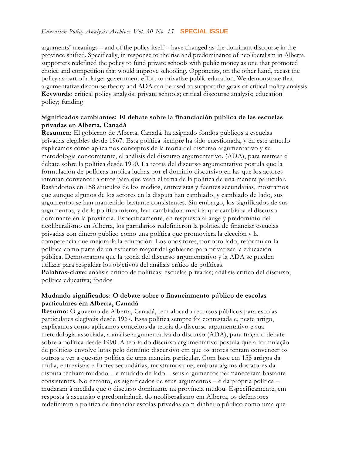arguments' meanings – and of the policy itself – have changed as the dominant discourse in the province shifted. Specifically, in response to the rise and predominance of neoliberalism in Alberta, supporters redefined the policy to fund private schools with public money as one that promoted choice and competition that would improve schooling. Opponents, on the other hand, recast the policy as part of a larger government effort to privatize public education. We demonstrate that argumentative discourse theory and ADA can be used to support the goals of critical policy analysis. **Keywords**: critical policy analysis; private schools; critical discourse analysis; education policy; funding

#### **Significados cambiantes: El debate sobre la financiación pública de las escuelas privadas en Alberta, Canadá**

**Resumen:** El gobierno de Alberta, Canadá, ha asignado fondos públicos a escuelas privadas elegibles desde 1967. Esta política siempre ha sido cuestionada, y en este artículo explicamos cómo aplicamos conceptos de la teoría del discurso argumentativo y su metodología concomitante, el análisis del discurso argumentativo. (ADA), para rastrear el debate sobre la política desde 1990. La teoría del discurso argumentativo postula que la formulación de políticas implica luchas por el dominio discursivo en las que los actores intentan convencer a otros para que vean el tema de la política de una manera particular. Basándonos en 158 artículos de los medios, entrevistas y fuentes secundarias, mostramos que aunque algunos de los actores en la disputa han cambiado, y cambiado de lado, sus argumentos se han mantenido bastante consistentes. Sin embargo, los significados de sus argumentos, y de la política misma, han cambiado a medida que cambiaba el discurso dominante en la provincia. Específicamente, en respuesta al auge y predominio del neoliberalismo en Alberta, los partidarios redefinieron la política de financiar escuelas privadas con dinero público como una política que promoviera la elección y la competencia que mejoraría la educación. Los opositores, por otro lado, reformulan la política como parte de un esfuerzo mayor del gobierno para privatizar la educación pública. Demostramos que la teoría del discurso argumentativo y la ADA se pueden utilizar para respaldar los objetivos del análisis crítico de políticas.

**Palabras-clave:** análisis crítico de políticas; escuelas privadas; análisis crítico del discurso; política educativa; fondos

#### **Mudando significados: O debate sobre o financiamento público de escolas particulares em Alberta, Canadá**

**Resumo:** O governo de Alberta, Canadá, tem alocado recursos públicos para escolas particulares elegíveis desde 1967. Essa política sempre foi contestada e, neste artigo, explicamos como aplicamos conceitos da teoria do discurso argumentativo e sua metodologia associada, a análise argumentativa do discurso (ADA), para traçar o debate sobre a política desde 1990. A teoria do discurso argumentativo postula que a formulação de políticas envolve lutas pelo domínio discursivo em que os atores tentam convencer os outros a ver a questão política de uma maneira particular. Com base em 158 artigos da mídia, entrevistas e fontes secundárias, mostramos que, embora alguns dos atores da disputa tenham mudado – e mudado de lado – seus argumentos permaneceram bastante consistentes. No entanto, os significados de seus argumentos – e da própria política – mudaram à medida que o discurso dominante na província mudou. Especificamente, em resposta à ascensão e predominância do neoliberalismo em Alberta, os defensores redefiniram a política de financiar escolas privadas com dinheiro público como uma que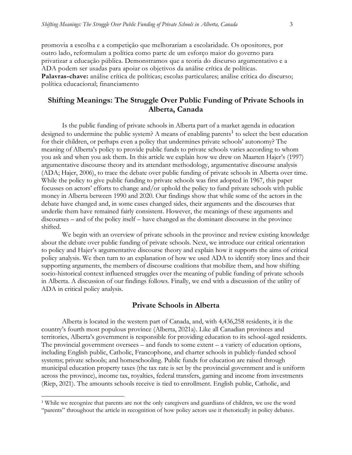promovia a escolha e a competição que melhorariam a escolaridade. Os opositores, por outro lado, reformulam a política como parte de um esforço maior do governo para privatizar a educação pública. Demonstramos que a teoria do discurso argumentativo e a ADA podem ser usadas para apoiar os objetivos da análise crítica de políticas. **Palavras-chave:** análise crítica de políticas; escolas particulares; análise crítica do discurso; política educacional; financiamento

#### **Shifting Meanings: The Struggle Over Public Funding of Private Schools in Alberta, Canada**

Is the public funding of private schools in Alberta part of a market agenda in education designed to undermine the public system? A means of enabling parents<sup>1</sup> to select the best education for their children, or perhaps even a policy that undermines private schools' autonomy? The meaning of Alberta's policy to provide public funds to private schools varies according to whom you ask and when you ask them. In this article we explain how we drew on Maarten Hajer's (1997) argumentative discourse theory and its attendant methodology, argumentative discourse analysis (ADA; Hajer, 2006), to trace the debate over public funding of private schools in Alberta over time. While the policy to give public funding to private schools was first adopted in 1967, this paper focusses on actors' efforts to change and/or uphold the policy to fund private schools with public money in Alberta between 1990 and 2020. Our findings show that while some of the actors in the debate have changed and, in some cases changed sides, their arguments and the discourses that underlie them have remained fairly consistent. However, the meanings of these arguments and discourses – and of the policy itself – have changed as the dominant discourse in the province shifted.

We begin with an overview of private schools in the province and review existing knowledge about the debate over public funding of private schools. Next, we introduce our critical orientation to policy and Hajer's argumentative discourse theory and explain how it supports the aims of critical policy analysis. We then turn to an explanation of how we used ADA to identify story lines and their supporting arguments, the members of discourse coalitions that mobilize them, and how shifting socio-historical context influenced struggles over the meaning of public funding of private schools in Alberta. A discussion of our findings follows. Finally, we end with a discussion of the utility of ADA in critical policy analysis.

#### **Private Schools in Alberta**

Alberta is located in the western part of Canada, and, with 4,436,258 residents, it is the country's fourth most populous province (Alberta, 2021a). Like all Canadian provinces and territories, Alberta's government is responsible for providing education to its school-aged residents. The provincial government oversees – and funds to some extent – a variety of education options, including English public, Catholic, Francophone, and charter schools in publicly-funded school systems; private schools; and homeschooling. Public funds for education are raised through municipal education property taxes (the tax rate is set by the provincial government and is uniform across the province), income tax, royalties, federal transfers, gaming and income from investments (Riep, 2021). The amounts schools receive is tied to enrollment. English public, Catholic, and

 $\overline{a}$ 

<sup>&</sup>lt;sup>1</sup> While we recognize that parents are not the only caregivers and guardians of children, we use the word "parents" throughout the article in recognition of how policy actors use it rhetorically in policy debates.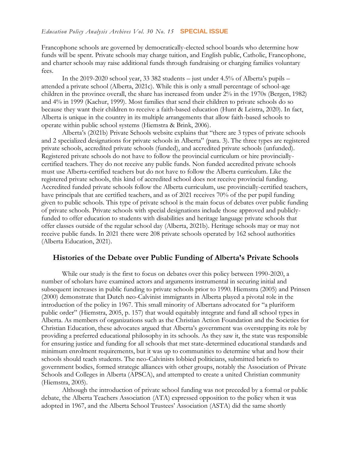Francophone schools are governed by democratically-elected school boards who determine how funds will be spent. Private schools may charge tuition, and English public, Catholic, Francophone, and charter schools may raise additional funds through fundraising or charging families voluntary fees.

In the 2019-2020 school year, 33 382 students – just under 4.5% of Alberta's pupils – attended a private school (Alberta, 2021c). While this is only a small percentage of school-age children in the province overall, the share has increased from under 2% in the 1970s (Bergen, 1982) and 4% in 1999 (Kachur, 1999). Most families that send their children to private schools do so because they want their children to receive a faith-based education (Hunt & Leistra, 2020). In fact, Alberta is unique in the country in its multiple arrangements that allow faith-based schools to operate within public school systems (Hiemstra & Brink, 2006).

Alberta's (2021b) Private Schools website explains that "there are 3 types of private schools and 2 specialized designations for private schools in Alberta" (para. 3). The three types are registered private schools, accredited private schools (funded), and accredited private schools (unfunded). Registered private schools do not have to follow the provincial curriculum or hire provinciallycertified teachers. They do not receive any public funds. Non funded accredited private schools must use Alberta-certified teachers but do not have to follow the Alberta curriculum. Like the registered private schools, this kind of accredited school does not receive provincial funding. Accredited funded private schools follow the Alberta curriculum, use provincially-certified teachers, have principals that are certified teachers, and as of 2021 receives 70% of the per pupil funding given to public schools. This type of private school is the main focus of debates over public funding of private schools. Private schools with special designations include those approved and publiclyfunded to offer education to students with disabilities and heritage language private schools that offer classes outside of the regular school day (Alberta, 2021b). Heritage schools may or may not receive public funds. In 2021 there were 208 private schools operated by 162 school authorities (Alberta Education, 2021).

#### **Histories of the Debate over Public Funding of Alberta's Private Schools**

While our study is the first to focus on debates over this policy between 1990-2020, a number of scholars have examined actors and arguments instrumental in securing initial and subsequent increases in public funding to private schools prior to 1990. Hiemstra (2005) and Prinsen (2000) demonstrate that Dutch neo-Calvinist immigrants in Alberta played a pivotal role in the introduction of the policy in 1967. This small minority of Albertans advocated for "a pluriform public order" (Hiemstra, 2005, p. 157) that would equitably integrate and fund all school types in Alberta. As members of organizations such as the Christian Action Foundation and the Societies for Christian Education, these advocates argued that Alberta's government was overstepping its role by providing a preferred educational philosophy in its schools. As they saw it, the state was responsible for ensuring justice and funding for all schools that met state-determined educational standards and minimum enrolment requirements, but it was up to communities to determine what and how their schools should teach students. The neo-Calvinists lobbied politicians, submitted briefs to government bodies, formed strategic alliances with other groups, notably the Association of Private Schools and Colleges in Alberta (APSCA), and attempted to create a united Christian community (Hiemstra, 2005).

Although the introduction of private school funding was not preceded by a formal or public debate, the Alberta Teachers Association (ATA) expressed opposition to the policy when it was adopted in 1967, and the Alberta School Trustees' Association (ASTA) did the same shortly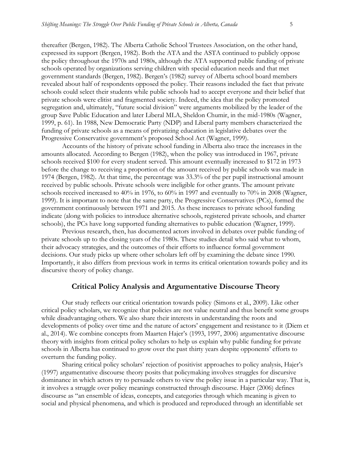thereafter (Bergen, 1982). The Alberta Catholic School Trustees Association, on the other hand, expressed its support (Bergen, 1982). Both the ATA and the ASTA continued to publicly oppose the policy throughout the 1970s and 1980s, although the ATA supported public funding of private schools operated by organizations serving children with special education needs and that met government standards (Bergen, 1982). Bergen's (1982) survey of Alberta school board members revealed about half of respondents opposed the policy. Their reasons included the fact that private schools could select their students while public schools had to accept everyone and their belief that private schools were elitist and fragmented society. Indeed, the idea that the policy promoted segregation and, ultimately, "future social division" were arguments mobilized by the leader of the group Save Public Education and later Liberal MLA, Sheldon Chumir, in the mid-1980s (Wagner, 1999, p. 61). In 1988, New Democratic Party (NDP) and Liberal party members characterized the funding of private schools as a means of privatizing education in legislative debates over the Progressive Conservative government's proposed School Act (Wagner, 1999).

Accounts of the history of private school funding in Alberta also trace the increases in the amounts allocated. According to Bergen (1982), when the policy was introduced in 1967, private schools received \$100 for every student served. This amount eventually increased to \$172 in 1973 before the change to receiving a proportion of the amount received by public schools was made in 1974 (Bergen, 1982). At that time, the percentage was 33.3% of the per pupil instructional amount received by public schools. Private schools were ineligible for other grants. The amount private schools received increased to 40% in 1976, to 60% in 1997 and eventually to 70% in 2008 (Wagner, 1999). It is important to note that the same party, the Progressive Conservatives (PCs), formed the government continuously between 1971 and 2015. As these increases to private school funding indicate (along with policies to introduce alternative schools, registered private schools, and charter schools), the PCs have long supported funding alternatives to public education (Wagner, 1999).

Previous research, then, has documented actors involved in debates over public funding of private schools up to the closing years of the 1980s. These studies detail who said what to whom, their advocacy strategies, and the outcomes of their efforts to influence formal government decisions. Our study picks up where other scholars left off by examining the debate since 1990. Importantly, it also differs from previous work in terms its critical orientation towards policy and its discursive theory of policy change.

#### **Critical Policy Analysis and Argumentative Discourse Theory**

Our study reflects our critical orientation towards policy (Simons et al., 2009). Like other critical policy scholars, we recognize that policies are not value neutral and thus benefit some groups while disadvantaging others. We also share their interests in understanding the roots and developments of policy over time and the nature of actors' engagement and resistance to it (Diem et al., 2014). We combine concepts from Maarten Hajer's (1993, 1997, 2006) argumentative discourse theory with insights from critical policy scholars to help us explain why public funding for private schools in Alberta has continued to grow over the past thirty years despite opponents' efforts to overturn the funding policy.

Sharing critical policy scholars' rejection of positivist approaches to policy analysis, Hajer's (1997) argumentative discourse theory posits that policymaking involves struggles for discursive dominance in which actors try to persuade others to view the policy issue in a particular way. That is, it involves a struggle over policy meanings constructed through discourse. Hajer (2006) defines discourse as "an ensemble of ideas, concepts, and categories through which meaning is given to social and physical phenomena, and which is produced and reproduced through an identifiable set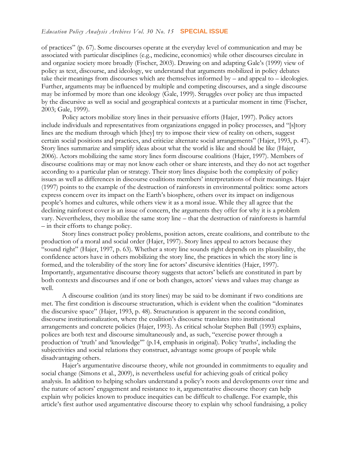of practices" (p. 67). Some discourses operate at the everyday level of communication and may be associated with particular disciplines (e.g., medicine, economics) while other discourses circulate in and organize society more broadly (Fischer, 2003). Drawing on and adapting Gale's (1999) view of policy as text, discourse, and ideology, we understand that arguments mobilized in policy debates take their meanings from discourses which are themselves informed by – and appeal to – ideologies. Further, arguments may be influenced by multiple and competing discourses, and a single discourse may be informed by more than one ideology (Gale, 1999). Struggles over policy are thus impacted by the discursive as well as social and geographical contexts at a particular moment in time (Fischer, 2003; Gale, 1999).

Policy actors mobilize story lines in their persuasive efforts (Hajer, 1997). Policy actors include individuals and representatives from organizations engaged in policy processes, and "[s]tory lines are the medium through which [they] try to impose their view of reality on others, suggest certain social positions and practices, and criticize alternate social arrangements" (Hajer, 1993, p. 47). Story lines summarize and simplify ideas about what the world is like and should be like (Hajer, 2006). Actors mobilizing the same story lines form discourse coalitions (Hajer, 1997). Members of discourse coalitions may or may not know each other or share interests, and they do not act together according to a particular plan or strategy. Their story lines disguise both the complexity of policy issues as well as differences in discourse coalitions members' interpretations of their meanings. Hajer (1997) points to the example of the destruction of rainforests in environmental politics: some actors express concern over its impact on the Earth's biosphere, others over its impact on indigenous people's homes and cultures, while others view it as a moral issue. While they all agree that the declining rainforest cover is an issue of concern, the arguments they offer for why it is a problem vary. Nevertheless, they mobilize the same story line – that the destruction of rainforests is harmful – in their efforts to change policy.

Story lines construct policy problems, position actors, create coalitions, and contribute to the production of a moral and social order (Hajer, 1997). Story lines appeal to actors because they "sound right" (Hajer, 1997, p. 63). Whether a story line sounds right depends on its plausibility, the confidence actors have in others mobilizing the story line, the practices in which the story line is formed, and the tolerability of the story line for actors' discursive identities (Hajer, 1997). Importantly, argumentative discourse theory suggests that actors' beliefs are constituted in part by both contexts and discourses and if one or both changes, actors' views and values may change as well.

A discourse coalition (and its story lines) may be said to be dominant if two conditions are met. The first condition is discourse structuration, which is evident when the coalition "dominates the discursive space" (Hajer, 1993, p. 48). Structuration is apparent in the second condition, discourse institutionalization, where the coalition's discourse translates into institutional arrangements and concrete policies (Hajer, 1993). As critical scholar Stephen Ball (1993) explains, polices are both text and discourse simultaneously and, as such, "exercise power through a production of 'truth' and 'knowledge'" (p.14, emphasis in original). Policy 'truths', including the subjectivities and social relations they construct, advantage some groups of people while disadvantaging others.

Hajer's argumentative discourse theory, while not grounded in commitments to equality and social change (Simons et al., 2009), is nevertheless useful for achieving goals of critical policy analysis. In addition to helping scholars understand a policy's roots and developments over time and the nature of actors' engagement and resistance to it, argumentative discourse theory can help explain why policies known to produce inequities can be difficult to challenge. For example, this article's first author used argumentative discourse theory to explain why school fundraising, a policy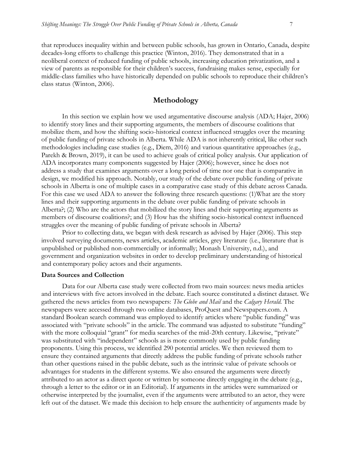that reproduces inequality within and between public schools, has grown in Ontario, Canada, despite decades-long efforts to challenge this practice (Winton, 2016). They demonstrated that in a neoliberal context of reduced funding of public schools, increasing education privatization, and a view of parents as responsible for their children's success, fundraising makes sense, especially for middle-class families who have historically depended on public schools to reproduce their children's class status (Winton, 2006).

#### **Methodology**

In this section we explain how we used argumentative discourse analysis (ADA; Hajer, 2006) to identify story lines and their supporting arguments, the members of discourse coalitions that mobilize them, and how the shifting socio-historical context influenced struggles over the meaning of public funding of private schools in Alberta. While ADA is not inherently critical, like other such methodologies including case studies (e.g., Diem, 2016) and various quantitative approaches (e.g., Parekh & Brown, 2019), it can be used to achieve goals of critical policy analysis. Our application of ADA incorporates many components suggested by Hajer (2006); however, since he does not address a study that examines arguments over a long period of time nor one that is comparative in design, we modified his approach. Notably, our study of the debate over public funding of private schools in Alberta is one of multiple cases in a comparative case study of this debate across Canada. For this case we used ADA to answer the following three research questions: (1)What are the story lines and their supporting arguments in the debate over public funding of private schools in Alberta?; (2) Who are the actors that mobilized the story lines and their supporting arguments as members of discourse coalitions?; and (3) How has the shifting socio-historical context influenced struggles over the meaning of public funding of private schools in Alberta?

Prior to collecting data, we began with desk research as advised by Hajer (2006). This step involved surveying documents, news articles, academic articles, grey literature (i.e., literature that is unpublished or published non-commercially or informally; Monash University, n.d.), and government and organization websites in order to develop preliminary understanding of historical and contemporary policy actors and their arguments.

#### **Data Sources and Collection**

Data for our Alberta case study were collected from two main sources: news media articles and interviews with five actors involved in the debate. Each source constituted a distinct dataset. We gathered the news articles from two newspapers: *The Globe and Mail* and the *Calgary Herald*. The newspapers were accessed through two online databases, ProQuest and Newspapers.com. A standard Boolean search command was employed to identify articles where "public funding" was associated with "private schools" in the article. The command was adjusted to substitute "funding" with the more colloquial "grant" for media searches of the mid-20th century. Likewise, "private" was substituted with "independent" schools as is more commonly used by public funding proponents. Using this process, we identified 290 potential articles. We then reviewed them to ensure they contained arguments that directly address the public funding of private schools rather than other questions raised in the public debate, such as the intrinsic value of private schools or advantages for students in the different systems. We also ensured the arguments were directly attributed to an actor as a direct quote or written by someone directly engaging in the debate (e.g., through a letter to the editor or in an Editorial). If arguments in the articles were summarized or otherwise interpreted by the journalist, even if the arguments were attributed to an actor, they were left out of the dataset. We made this decision to help ensure the authenticity of arguments made by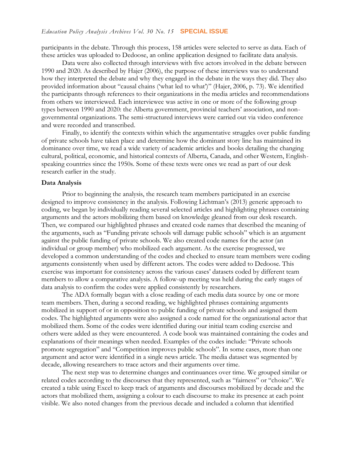participants in the debate. Through this process, 158 articles were selected to serve as data. Each of these articles was uploaded to Dedoose, an online application designed to facilitate data analysis.

Data were also collected through interviews with five actors involved in the debate between 1990 and 2020. As described by Hajer (2006), the purpose of these interviews was to understand how they interpreted the debate and why they engaged in the debate in the ways they did. They also provided information about "causal chains ('what led to what')" (Hajer, 2006, p. 73). We identified the participants through references to their organizations in the media articles and recommendations from others we interviewed. Each interviewee was active in one or more of the following group types between 1990 and 2020: the Alberta government, provincial teachers' association, and nongovernmental organizations. The semi-structured interviews were carried out via video conference and were recorded and transcribed.

Finally, to identify the contexts within which the argumentative struggles over public funding of private schools have taken place and determine how the dominant story line has maintained its dominance over time, we read a wide variety of academic articles and books detailing the changing cultural, political, economic, and historical contexts of Alberta, Canada, and other Western, Englishspeaking countries since the 1950s. Some of these texts were ones we read as part of our desk research earlier in the study.

#### **Data Analysis**

Prior to beginning the analysis, the research team members participated in an exercise designed to improve consistency in the analysis. Following Lichtman's (2013) generic approach to coding, we began by individually reading several selected articles and highlighting phrases containing arguments and the actors mobilizing them based on knowledge gleaned from our desk research. Then, we compared our highlighted phrases and created code names that described the meaning of the arguments, such as "Funding private schools will damage public schools" which is an argument against the public funding of private schools. We also created code names for the actor (an individual or group member) who mobilized each argument. As the exercise progressed, we developed a common understanding of the codes and checked to ensure team members were coding arguments consistently when used by different actors. The codes were added to Dedoose. This exercise was important for consistency across the various cases' datasets coded by different team members to allow a comparative analysis. A follow-up meeting was held during the early stages of data analysis to confirm the codes were applied consistently by researchers.

The ADA formally began with a close reading of each media data source by one or more team members. Then, during a second reading, we highlighted phrases containing arguments mobilized in support of or in opposition to public funding of private schools and assigned them codes. The highlighted arguments were also assigned a code named for the organizational actor that mobilized them. Some of the codes were identified during our initial team coding exercise and others were added as they were encountered. A code book was maintained containing the codes and explanations of their meanings when needed. Examples of the codes include: "Private schools promote segregation" and "Competition improves public schools". In some cases, more than one argument and actor were identified in a single news article. The media dataset was segmented by decade, allowing researchers to trace actors and their arguments over time.

The next step was to determine changes and continuances over time. We grouped similar or related codes according to the discourses that they represented, such as "fairness" or "choice". We created a table using Excel to keep track of arguments and discourses mobilized by decade and the actors that mobilized them, assigning a colour to each discourse to make its presence at each point visible. We also noted changes from the previous decade and included a column that identified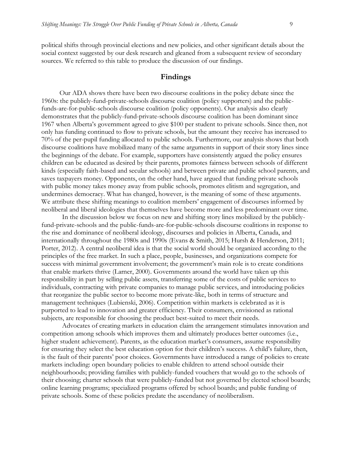political shifts through provincial elections and new policies, and other significant details about the social context suggested by our desk research and gleaned from a subsequent review of secondary sources. We referred to this table to produce the discussion of our findings.

#### **Findings**

Our ADA shows there have been two discourse coalitions in the policy debate since the 1960s: the publicly-fund-private-schools discourse coalition (policy supporters) and the publicfunds-are-for-public-schools discourse coalition (policy opponents). Our analysis also clearly demonstrates that the publicly-fund-private-schools discourse coalition has been dominant since 1967 when Alberta's government agreed to give \$100 per student to private schools. Since then, not only has funding continued to flow to private schools, but the amount they receive has increased to 70% of the per-pupil funding allocated to public schools. Furthermore, our analysis shows that both discourse coalitions have mobilized many of the same arguments in support of their story lines since the beginnings of the debate. For example, supporters have consistently argued the policy ensures children can be educated as desired by their parents, promotes fairness between schools of different kinds (especially faith-based and secular schools) and between private and public school parents, and saves taxpayers money. Opponents, on the other hand, have argued that funding private schools with public money takes money away from public schools, promotes elitism and segregation, and undermines democracy. What has changed, however, is the meaning of some of these arguments. We attribute these shifting meanings to coalition members' engagement of discourses informed by neoliberal and liberal ideologies that themselves have become more and less predominant over time.

In the discussion below we focus on new and shifting story lines mobilized by the publiclyfund-private-schools and the public-funds-are-for-public-schools discourse coalitions in response to the rise and dominance of neoliberal ideology, discourses and policies in Alberta, Canada, and internationally throughout the 1980s and 1990s (Evans & Smith, 2015; Hursh & Henderson, 2011; Porter, 2012). A central neoliberal idea is that the social world should be organized according to the principles of the free market. In such a place, people, businesses, and organizations compete for success with minimal government involvement; the government's main role is to create conditions that enable markets thrive (Larner, 2000). Governments around the world have taken up this responsibility in part by selling public assets, transferring some of the costs of public services to individuals, contracting with private companies to manage public services, and introducing policies that reorganize the public sector to become more private-like, both in terms of structure and management techniques (Lubienski, 2006). Competition within markets is celebrated as it is purported to lead to innovation and greater efficiency. Their consumers, envisioned as rational subjects, are responsible for choosing the product best-suited to meet their needs.

Advocates of creating markets in education claim the arrangement stimulates innovation and competition among schools which improves them and ultimately produces better outcomes (i.e., higher student achievement). Parents, as the education market's consumers, assume responsibility for ensuring they select the best education option for their children's success. A child's failure, then, is the fault of their parents' poor choices. Governments have introduced a range of policies to create markets including: open boundary policies to enable children to attend school outside their neighbourhoods; providing families with publicly-funded vouchers that would go to the schools of their choosing; charter schools that were publicly-funded but not governed by elected school boards; online learning programs; specialized programs offered by school boards; and public funding of private schools. Some of these policies predate the ascendancy of neoliberalism.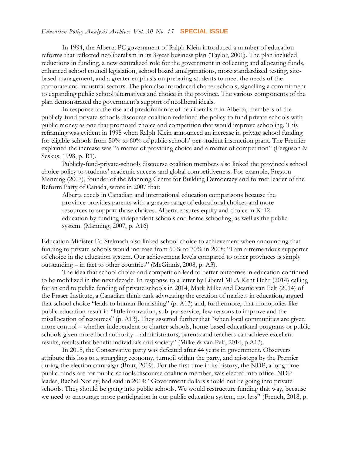In 1994, the Alberta PC government of Ralph Klein introduced a number of education reforms that reflected neoliberalism in its 3-year business plan (Taylor, 2001). The plan included reductions in funding, a new centralized role for the government in collecting and allocating funds, enhanced school council legislation, school board amalgamations, more standardized testing, sitebased management, and a greater emphasis on preparing students to meet the needs of the corporate and industrial sectors. The plan also introduced charter schools, signalling a commitment to expanding public school alternatives and choice in the province. The various components of the plan demonstrated the government's support of neoliberal ideals.

In response to the rise and predominance of neoliberalism in Alberta, members of the publicly-fund-private-schools discourse coalition redefined the policy to fund private schools with public money as one that promoted choice and competition that would improve schooling. This reframing was evident in 1998 when Ralph Klein announced an increase in private school funding for eligible schools from 50% to 60% of public schools' per-student instruction grant. The Premier explained the increase was "a matter of providing choice and a matter of competition" (Ferguson & Seskus, 1998, p. B1).

Publicly-fund-private-schools discourse coalition members also linked the province's school choice policy to students' academic success and global competitiveness. For example, Preston Manning (2007), founder of the Manning Centre for Building Democracy and former leader of the Reform Party of Canada, wrote in 2007 that:

Alberta excels in Canadian and international education comparisons because the province provides parents with a greater range of educational choices and more resources to support those choices. Alberta ensures equity and choice in K-12 education by funding independent schools and home schooling, as well as the public system. (Manning, 2007, p. A16)

Education Minister Ed Stelmach also linked school choice to achievement when announcing that funding to private schools would increase from 60% to 70% in 2008: "I am a tremendous supporter of choice in the education system. Our achievement levels compared to other provinces is simply outstanding – in fact to other countries" (McGinnis, 2008, p. A3).

The idea that school choice and competition lead to better outcomes in education continued to be mobilized in the next decade. In response to a letter by Liberal MLA Kent Hehr (2014) calling for an end to public funding of private schools in 2014, Mark Milke and Deanie van Pelt (2014) of the Fraser Institute, a Canadian think tank advocating the creation of markets in education, argued that school choice "leads to human flourishing" (p. A13) and, furthermore, that monopolies like public education result in "little innovation, sub-par service, few reasons to improve and the misallocation of resources" (p. A13). They asserted further that "when local communities are given more control – whether independent or charter schools, home-based educational programs or public schools given more local authority – administrators, parents and teachers can achieve excellent results, results that benefit individuals and society" (Milke & van Pelt, 2014, p.A13).

In 2015, the Conservative party was defeated after 44 years in government. Observers attribute this loss to a struggling economy, turmoil within the party, and missteps by the Premier during the election campaign (Bratt, 2019). For the first time in its history, the NDP, a long-time public-funds-are for-public-schools discourse coalition member, was elected into office. NDP leader, Rachel Notley, had said in 2014: "Government dollars should not be going into private schools. They should be going into public schools. We would restructure funding that way, because we need to encourage more participation in our public education system, not less" (French, 2018, p.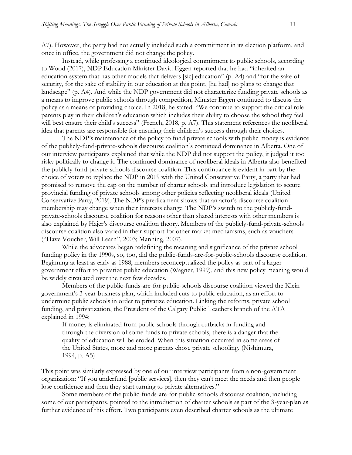A7). However, the party had not actually included such a commitment in its election platform, and once in office, the government did not change the policy.

Instead, while professing a continued ideological commitment to public schools, according to Wood (2017), NDP Education Minister David Eggen reported that he had "inherited an education system that has other models that delivers [sic] education" (p. A4) and "for the sake of security, for the sake of stability in our education at this point, [he had] no plans to change that landscape" (p. A4). And while the NDP government did not characterize funding private schools as a means to improve public schools through competition, Minister Eggen continued to discuss the policy as a means of providing choice. In 2018, he stated: "We continue to support the critical role parents play in their children's education which includes their ability to choose the school they feel will best ensure their child's success" (French, 2018, p. A7). This statement references the neoliberal idea that parents are responsible for ensuring their children's success through their choices.

The NDP's maintenance of the policy to fund private schools with public money is evidence of the publicly-fund-private-schools discourse coalition's continued dominance in Alberta. One of our interview participants explained that while the NDP did not support the policy, it judged it too risky politically to change it. The continued dominance of neoliberal ideals in Alberta also benefited the publicly-fund-private-schools discourse coalition. This continuance is evident in part by the choice of voters to replace the NDP in 2019 with the United Conservative Party, a party that had promised to remove the cap on the number of charter schools and introduce legislation to secure provincial funding of private schools among other policies reflecting neoliberal ideals (United Conservative Party, 2019). The NDP's predicament shows that an actor's discourse coalition membership may change when their interests change. The NDP's switch to the publicly-fundprivate-schools discourse coalition for reasons other than shared interests with other members is also explained by Hajer's discourse coalition theory. Members of the publicly-fund-private-schools discourse coalition also varied in their support for other market mechanisms, such as vouchers ("Have Voucher, Will Learn", 2003; Manning, 2007).

While the advocates began redefining the meaning and significance of the private school funding policy in the 1990s, so, too, did the public-funds-are-for-public-schools discourse coalition. Beginning at least as early as 1988, members reconceptualized the policy as part of a larger government effort to privatize public education (Wagner, 1999), and this new policy meaning would be widely circulated over the next few decades.

Members of the public-funds-are-for-public-schools discourse coalition viewed the Klein government's 3-year-business plan, which included cuts to public education, as an effort to undermine public schools in order to privatize education. Linking the reforms, private school funding, and privatization, the President of the Calgary Public Teachers branch of the ATA explained in 1994:

If money is eliminated from public schools through cutbacks in funding and through the diversion of some funds to private schools, there is a danger that the quality of education will be eroded. When this situation occurred in some areas of the United States, more and more parents chose private schooling. (Nishimura, 1994, p. A5)

This point was similarly expressed by one of our interview participants from a non-government organization: "If you underfund [public services], then they can't meet the needs and then people lose confidence and then they start turning to private alternatives."

Some members of the public-funds-are-for-public-schools discourse coalition, including some of our participants, pointed to the introduction of charter schools as part of the 3-year-plan as further evidence of this effort. Two participants even described charter schools as the ultimate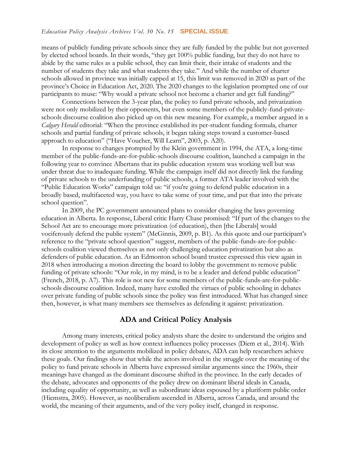means of publicly funding private schools since they are fully funded by the public but not governed by elected school boards. In their words, "they get 100% public funding, but they do not have to abide by the same rules as a public school, they can limit their, their intake of students and the number of students they take and what students they take." And while the number of charter schools allowed in province was initially capped at 15, this limit was removed in 2020 as part of the province's Choice in Education Act, 2020. The 2020 changes to the legislation prompted one of our participants to muse: "Why would a private school not become a charter and get full funding?"

Connections between the 3-year plan, the policy to fund private schools, and privatization were not only mobilized by their opponents, but even some members of the publicly-fund-privateschools discourse coalition also picked up on this new meaning. For example, a member argued in a *Calgary Herald* editorial: "When the province established its per-student funding formula, charter schools and partial funding of private schools, it began taking steps toward a customer-based approach to education" ("Have Voucher, Will Learn", 2003, p. A20).

In response to changes prompted by the Klein government in 1994, the ATA, a long-time member of the public-funds-are-for-public-schools discourse coalition, launched a campaign in the following year to convince Albertans that its public education system was working well but was under threat due to inadequate funding. While the campaign itself did not directly link the funding of private schools to the underfunding of public schools, a former ATA leader involved with the "Public Education Works" campaign told us: "if you're going to defend public education in a broadly based, multifaceted way, you have to take some of your time, and put that into the private school question".

In 2009, the PC government announced plans to consider changing the laws governing education in Alberta. In response, Liberal critic Harry Chase promised: "If part of the changes to the School Act are to encourage more privatization (of education), then [the Liberals] would vociferously defend the public system" (McGinnis, 2009, p. B1). As this quote and our participant's reference to the "private school question" suggest, members of the public-funds-are-for-publicschools coalition viewed themselves as not only challenging education privatization but also as defenders of public education. As an Edmonton school board trustee expressed this view again in 2018 when introducing a motion directing the board to lobby the government to remove public funding of private schools: "Our role, in my mind, is to be a leader and defend public education" (French, 2018, p. A7). This role is not new for some members of the public-funds-are-for-publicschools discourse coalition. Indeed, many have extolled the virtues of public schooling in debates over private funding of public schools since the policy was first introduced. What has changed since then, however, is what many members see themselves as defending it against: privatization.

#### **ADA and Critical Policy Analysis**

Among many interests, critical policy analysts share the desire to understand the origins and development of policy as well as how context influences policy processes (Diem et al., 2014). With its close attention to the arguments mobilized in policy debates, ADA can help researchers achieve these goals. Our findings show that while the actors involved in the struggle over the meaning of the policy to fund private schools in Alberta have expressed similar arguments since the 1960s, their meanings have changed as the dominant discourse shifted in the province. In the early decades of the debate, advocates and opponents of the policy drew on dominant liberal ideals in Canada, including equality of opportunity, as well as subordinate ideas espoused by a pluriform public order (Hiemstra, 2005). However, as neoliberalism ascended in Alberta, across Canada, and around the world, the meaning of their arguments, and of the very policy itself, changed in response.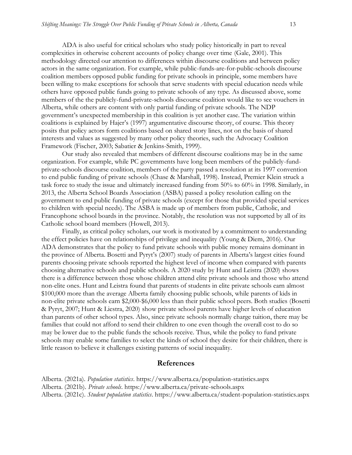ADA is also useful for critical scholars who study policy historically in part to reveal complexities in otherwise coherent accounts of policy change over time (Gale, 2001). This methodology directed our attention to differences within discourse coalitions and between policy actors in the same organization. For example, while public-funds-are-for-public-schools discourse coalition members opposed public funding for private schools in principle, some members have been willing to make exceptions for schools that serve students with special education needs while others have opposed public funds going to private schools of any type. As discussed above, some members of the the publicly-fund-private-schools discourse coalition would like to see vouchers in Alberta, while others are content with only partial funding of private schools. The NDP government's unexpected membership in this coalition is yet another case. The variation within coalitions is explained by Hajer's (1997) argumentative discourse theory, of course. This theory posits that policy actors form coalitions based on shared story lines, not on the basis of shared interests and values as suggested by many other policy theories, such the Advocacy Coalition Framework (Fischer, 2003; Sabatier & Jenkins-Smith, 1999).

Our study also revealed that members of different discourse coalitions may be in the same organization. For example, while PC governments have long been members of the publicly-fundprivate-schools discourse coalition, members of the party passed a resolution at its 1997 convention to end public funding of private schools (Chase & Marshall, 1998). Instead, Premier Klein struck a task force to study the issue and ultimately increased funding from 50% to 60% in 1998. Similarly, in 2013, the Alberta School Boards Association (ASBA) passed a policy resolution calling on the government to end public funding of private schools (except for those that provided special services to children with special needs). The ASBA is made up of members from public, Catholic, and Francophone school boards in the province. Notably, the resolution was not supported by all of its Catholic school board members (Howell, 2013).

Finally, as critical policy scholars, our work is motivated by a commitment to understanding the effect policies have on relationships of privilege and inequality (Young & Diem, 2016). Our ADA demonstrates that the policy to fund private schools with public money remains dominant in the province of Alberta. Bosetti and Pyryt's (2007) study of parents in Alberta's largest cities found parents choosing private schools reported the highest level of income when compared with parents choosing alternative schools and public schools. A 2020 study by Hunt and Leistra (2020) shows there is a difference between those whose children attend elite private schools and those who attend non-elite ones. Hunt and Leistra found that parents of students in elite private schools earn almost \$100,000 more than the average Alberta family choosing public schools, while parents of kids in non-elite private schools earn \$2,000-\$6,000 less than their public school peers. Both studies (Bosetti & Pyryt, 2007; Hunt & Liestra, 2020) show private school parents have higher levels of education than parents of other school types. Also, since private schools normally charge tuition, there may be families that could not afford to send their children to one even though the overall cost to do so may be lower due to the public funds the schools receive. Thus, while the policy to fund private schools may enable some families to select the kinds of school they desire for their children, there is little reason to believe it challenges existing patterns of social inequality.

#### **References**

Alberta. (2021a). *Population statistics*. https://www.alberta.ca/population-statistics.aspx

Alberta. (2021b). *Private schools*. https://www.alberta.ca/private-schools.aspx

Alberta. (2021c). *Student population statistics*. https://www.alberta.ca/student-population-statistics.aspx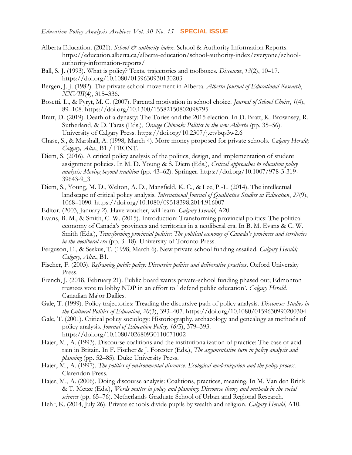- Alberta Education. (2021). *School & authority index*. School & Authority Information Reports. https://education.alberta.ca/alberta-education/school-authority-index/everyone/schoolauthority-information-reports/
- Ball, S. J. (1993). What is policy? Texts, trajectories and toolboxes. *Discourse*, *13*(2), 10–17. https://doi.org/10.1080/0159630930130203
- Bergen, J. J. (1982). The private school movement in Alberta. *Alberta Journal of Educational Research*, *XXVIII*(4), 315–336.
- Bosetti, L., & Pyryt, M. C. (2007). Parental motivation in school choice. *Journal of School Choice*, *1*(4), 89–108. https://doi.org/10.1300/15582150802098795
- Bratt, D. (2019). Death of a dynasty: The Tories and the 2015 election. In D. Bratt, K. Brownsey, R. Sutherland, & D. Taras (Eds.), *Orange Chinook: Politics in the new Alberta* (pp. 35–56). University of Calgary Press.<https://doi.org/10.2307/j.ctvbqs3w2.6>
- Chase, S., & Marshall, A. (1998, March 4). More money proposed for private schools. *Calgary Herald; Calgary, Alta.*, B1 / FRONT.
- Diem, S. (2016). A critical policy analysis of the politics, design, and implementation of student assignment policies. In M. D. Young & S. Diem (Eds.), *Critical approaches to education policy analysis: Moving beyond tradition* (pp. 43–62). Springer. https://doi.org/10.1007/978-3-319- 39643-9\_3
- Diem, S., Young, M. D., Welton, A. D., Mansfield, K. C., & Lee, P.-L. (2014). The intellectual landscape of critical policy analysis. *International Journal of Qualitative Studies in Education*, *27*(9), 1068–1090. https://doi.org/10.1080/09518398.2014.916007
- Editor. (2003, January 2). Have voucher, will learn. *Calgary Herald*, A20.
- Evans, B. M., & Smith, C. W. (2015). Introduction: Transforming provincial politics: The political economy of Canada's provinces and territories in a neoliberal era. In B. M. Evans & C. W. Smith (Eds.), *Transforming provincial politics: The political economy of Canada's provinces and territories in the neoliberal era* (pp. 3–18). University of Toronto Press.
- Ferguson, E., & Seskus, T. (1998, March 6). New private school funding assailed. *Calgary Herald; Calgary, Alta.*, B1.
- Fischer, F. (2003). *Reframing public policy: Discursive politics and deliberative practices*. Oxford University Press.
- French, J. (2018, February 21). Public board wants private-school funding phased out; Edmonton trustees vote to lobby NDP in an effort to ' defend public education'. *Calgary Herald*. Canadian Major Dailies.
- Gale, T. (1999). Policy trajectories: Treading the discursive path of policy analysis. *Discourse: Studies in the Cultural Politics of Education*, *20*(3), 393–407. https://doi.org/10.1080/0159630990200304
- Gale, T. (2001). Critical policy sociology: Historiography, archaeology and genealogy as methods of policy analysis. *Journal of Education Policy, 16(*5), 379–393. https://doi.org/10.1080/02680930110071002
- Hajer, M., A. (1993). Discourse coalitions and the institutionalization of practice: The case of acid rain in Britain. In F. Fischer & J. Forester (Eds.), *The argumentative turn in policy analysis and planning* (pp. 52–85). Duke University Press.
- Hajer, M., A. (1997). *The politics of environmental discourse: Ecological modernization and the policy process*. Clarendon Press.
- Hajer, M., A. (2006). Doing discourse analysis: Coalitions, practices, meaning. In M. Van den Brink & T. Metze (Eds.), *Words matter in policy and planning: Discourse theory and methods in the social sciences* (pp. 65–76). Netherlands Graduate School of Urban and Regional Research.
- Hehr, K. (2014, July 26). Private schools divide pupils by wealth and religion. *Calgary Herald*, A10.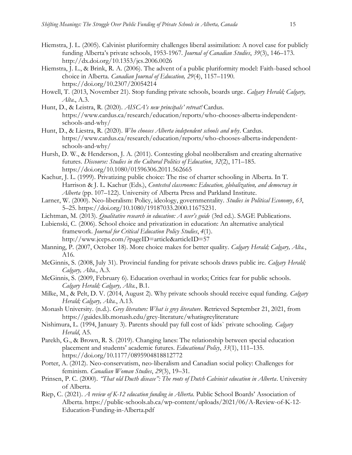- Hiemstra, J. L. (2005). Calvinist pluriformity challenges liberal assimilation: A novel case for publicly funding Alberta's private schools, 1953-1967. *Journal of Canadian Studies*, *39*(3), 146–173. http://dx.doi.org/10.1353/jcs.2006.0026
- Hiemstra, J. L., & Brink, R. A. (2006). The advent of a public pluriformity model: Faith-based school choice in Alberta. *Canadian Journal of Education, 29*(4), 1157–1190. https://doi.org/10.2307/20054214
- Howell, T. (2013, November 21). Stop funding private schools, boards urge. *Calgary Herald; Calgary, Alta*., A.3.
- Hunt, D., & Leistra, R. (2020). *AISCA's new principals' retreat!* Cardus. https://www.cardus.ca/research/education/reports/who-chooses-alberta-independentschools-and-why/
- Hunt, D., & Liestra, R. (2020). *Who chooses Alberta independent schools and why*. Cardus. https://www.cardus.ca/research/education/reports/who-chooses-alberta-independentschools-and-why/
- Hursh, D. W., & Henderson, J. A. (2011). Contesting global neoliberalism and creating alternative futures. *Discourse: Studies in the Cultural Politics of Education*, *32*(2), 171–185. https://doi.org/10.1080/01596306.2011.562665
- Kachur, J. L. (1999). Privatizing public choice: The rise of charter schooling in Alberta. In T. Harrison & J. L. Kachur (Eds.), *Contested classrooms: Education, globalization, and democracy in Alberta* (pp. 107–122). University of Alberta Press and Parkland Institute.
- Larner, W. (2000). Neo-liberalism: Policy, ideology, governmentality. *Studies in Political Economy*, *63*, 5–25. https://doi.org/10.1080/19187033.2000.11675231.
- Lichtman, M. (2013). *Qualitative research in education: A user's guide* (3rd ed.). SAGE Publications.

Lubienski, C. (2006). School choice and privatization in education: An alternative analytical framework. *Journal for Critical Education Policy Studies*, *4*(1). http://www.jceps.com/?pageID=article&articleID=57

- Manning, P. (2007, October 18). More choice makes for better quality. *Calgary Herald; Calgary, Alta.*, A16.
- McGinnis, S. (2008, July 31). Provincial funding for private schools draws public ire. *Calgary Herald; Calgary, Alta.*, A.3.
- McGinnis, S. (2009, February 6). Education overhaul in works; Critics fear for public schools. *Calgary Herald; Calgary, Alta.*, B.1.
- Milke, M., & Pelt, D. V. (2014, August 2). Why private schools should receive equal funding. *Calgary Herald; Calgary, Alta.*, A.13.
- Monash University. (n.d.). *Grey literature: What is grey literature*. Retrieved September 21, 2021, from https://guides.lib.monash.edu/grey-literature/whatisgreyliterature
- Nishimura, L. (1994, January 3). Parents should pay full cost of kids` private schooling. *Calgary Herald*, A5.
- Parekh, G., & Brown, R. S. (2019). Changing lanes: The relationship between special education placement and students' academic futures. *Educational Policy*, *33*(1), 111–135. https://doi.org/10.1177/0895904818812772
- Porter, A. (2012). Neo-conservatism, neo-liberalism and Canadian social policy: Challenges for feminism. *Canadian Woman Studies*, *29*(3), 19–31.
- Prinsen, P. C. (2000). *"That old Ducth disease": The roots of Dutch Calvinist education in Alberta*. University of Alberta.
- Riep, C. (2021). *A review of K-12 education funding in Alberta*. Public School Boards' Association of Alberta. https://public-schools.ab.ca/wp-content/uploads/2021/06/A-Review-of-K-12- Education-Funding-in-Alberta.pdf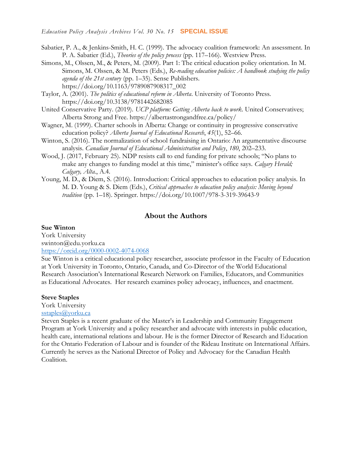- Sabatier, P. A., & Jenkins-Smith, H. C. (1999). The advocacy coalition framework: An assessment. In P. A. Sabatier (Ed.), *Theories of the policy process* (pp. 117–166). Westview Press.
- Simons, M., Olssen, M., & Peters, M. (2009). Part 1: The critical education policy orientation. In M. Simons, M. Olssen, & M. Peters (Eds.), *Re-reading education policies: A handbook studying the policy agenda of the 21st century* (pp. 1–35). Sense Publishers. https://doi.org/10.1163/9789087908317\_002
- Taylor, A. (2001). *The politics of educational reform in Alberta*. University of Toronto Press. https://doi.org/10.3138/9781442682085
- United Conservative Party. (2019). *UCP platform: Getting Alberta back to work*. United Conservatives; Alberta Strong and Free. https://albertastrongandfree.ca/policy/
- Wagner, M. (1999). Charter schools in Alberta: Change or continuity in progressive conservative education policy? *Alberta Journal of Educational Research*, *45*(1), 52–66.
- Winton, S. (2016). The normalization of school fundraising in Ontario: An argumentative discourse analysis. *Canadian Journal of Educational Administration and Policy*, *180*, 202–233.
- Wood, J. (2017, February 25). NDP resists call to end funding for private schools; "No plans to make any changes to funding model at this time," minister's office says. *Calgary Herald; Calgary, Alta.*, A.4.
- Young, M. D., & Diem, S. (2016). Introduction: Critical approaches to education policy analysis. In M. D. Young & S. Diem (Eds.), *Critical approaches to education policy analysis: Moving beyond tradition* (pp. 1–18). Springer. https://doi.org/10.1007/978-3-319-39643-9

#### **About the Authors**

#### **Sue Winton**

York University swinton@edu.yorku.ca <https://orcid.org/0000-0002-4074-0068>

Sue Winton is a critical educational policy researcher, associate professor in the Faculty of Education at York University in Toronto, Ontario, Canada, and Co-Director of the World Educational Research Association's International Research Network on Families, Educators, and Communities as Educational Advocates. Her research examines policy advocacy, influences, and enactment.

#### **Steve Staples**

York University

#### [sstaples@yorku.ca](mailto:sstaples@yorku.ca)

Steven Staples is a recent graduate of the Master's in Leadership and Community Engagement Program at York University and a policy researcher and advocate with interests in public education, health care, international relations and labour. He is the former Director of Research and Education for the Ontario Federation of Labour and is founder of the Rideau Institute on International Affairs. Currently he serves as the National Director of Policy and Advocacy for the Canadian Health Coalition.